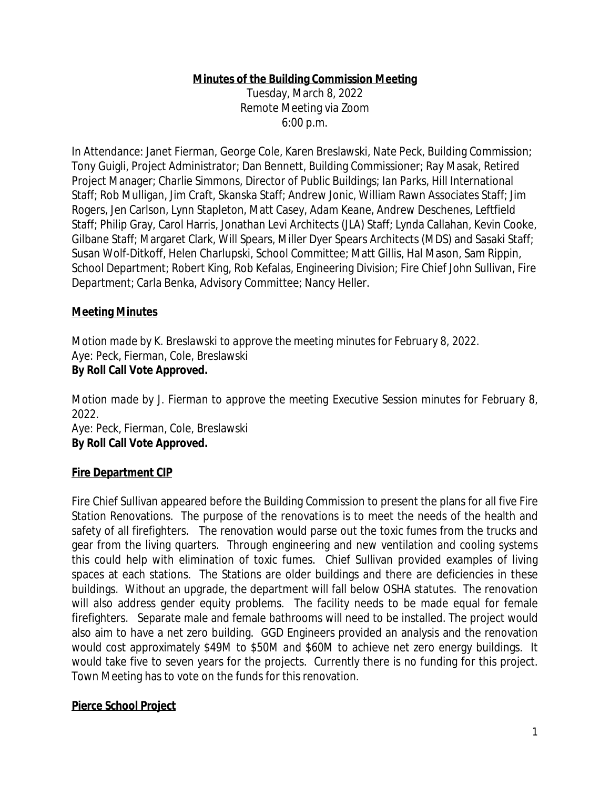# **Minutes of the Building Commission Meeting**

Tuesday, March 8, 2022 Remote Meeting via Zoom 6:00 p.m.

In Attendance: Janet Fierman, George Cole, Karen Breslawski, Nate Peck, Building Commission; Tony Guigli, Project Administrator; Dan Bennett, Building Commissioner; Ray Masak, Retired Project Manager; Charlie Simmons, Director of Public Buildings; Ian Parks, Hill International Staff; Rob Mulligan, Jim Craft, Skanska Staff; Andrew Jonic, William Rawn Associates Staff; Jim Rogers, Jen Carlson, Lynn Stapleton, Matt Casey, Adam Keane, Andrew Deschenes, Leftfield Staff; Philip Gray, Carol Harris, Jonathan Levi Architects (JLA) Staff; Lynda Callahan, Kevin Cooke, Gilbane Staff; Margaret Clark, Will Spears, Miller Dyer Spears Architects (MDS) and Sasaki Staff; Susan Wolf-Ditkoff, Helen Charlupski, School Committee; Matt Gillis, Hal Mason, Sam Rippin, School Department; Robert King, Rob Kefalas, Engineering Division; Fire Chief John Sullivan, Fire Department; Carla Benka, Advisory Committee; Nancy Heller.

### **Meeting Minutes**

*Motion made by K. Breslawski to approve the meeting minutes for February 8, 2022.* Aye: Peck, Fierman, Cole, Breslawski **By Roll Call Vote Approved.**

*Motion made by J. Fierman to approve the meeting Executive Session minutes for February 8, 2022.*

Aye: Peck, Fierman, Cole, Breslawski **By Roll Call Vote Approved.**

### **Fire Department CIP**

Fire Chief Sullivan appeared before the Building Commission to present the plans for all five Fire Station Renovations. The purpose of the renovations is to meet the needs of the health and safety of all firefighters. The renovation would parse out the toxic fumes from the trucks and gear from the living quarters. Through engineering and new ventilation and cooling systems this could help with elimination of toxic fumes. Chief Sullivan provided examples of living spaces at each stations. The Stations are older buildings and there are deficiencies in these buildings. Without an upgrade, the department will fall below OSHA statutes. The renovation will also address gender equity problems. The facility needs to be made equal for female firefighters. Separate male and female bathrooms will need to be installed. The project would also aim to have a net zero building. GGD Engineers provided an analysis and the renovation would cost approximately \$49M to \$50M and \$60M to achieve net zero energy buildings. It would take five to seven years for the projects. Currently there is no funding for this project. Town Meeting has to vote on the funds for this renovation.

### **Pierce School Project**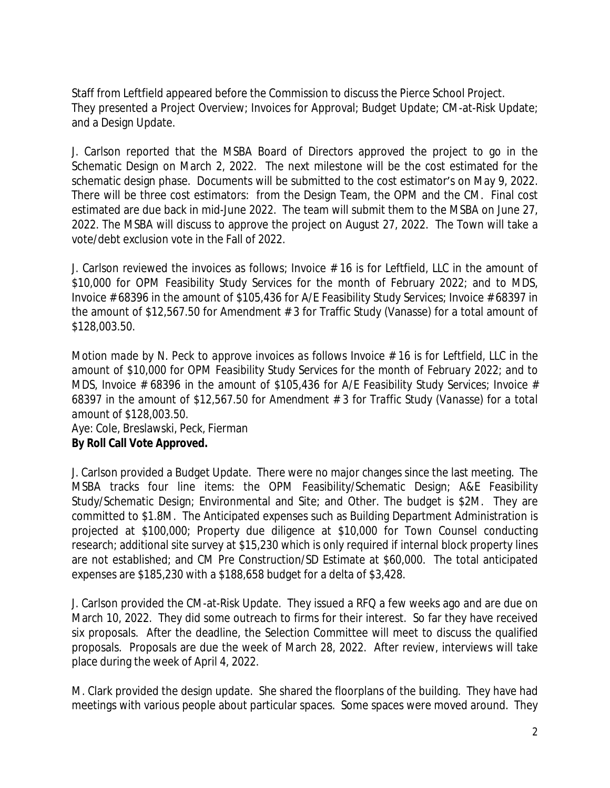Staff from Leftfield appeared before the Commission to discuss the Pierce School Project. They presented a Project Overview; Invoices for Approval; Budget Update; CM-at-Risk Update; and a Design Update.

J. Carlson reported that the MSBA Board of Directors approved the project to go in the Schematic Design on March 2, 2022. The next milestone will be the cost estimated for the schematic design phase. Documents will be submitted to the cost estimator's on May 9, 2022. There will be three cost estimators: from the Design Team, the OPM and the CM. Final cost estimated are due back in mid-June 2022. The team will submit them to the MSBA on June 27, 2022. The MSBA will discuss to approve the project on August 27, 2022. The Town will take a vote/debt exclusion vote in the Fall of 2022.

J. Carlson reviewed the invoices as follows; Invoice # 16 is for Leftfield, LLC in the amount of \$10,000 for OPM Feasibility Study Services for the month of February 2022; and to MDS, Invoice # 68396 in the amount of \$105,436 for A/E Feasibility Study Services; Invoice # 68397 in the amount of \$12,567.50 for Amendment # 3 for Traffic Study (Vanasse) for a total amount of \$128,003.50.

Motion made by N. Peck to approve invoices as follows Invoice  $# 16$  is for Leftfield, LLC in the *amount of \$10,000 for OPM Feasibility Study Services for the month of February 2022; and to MDS, Invoice # 68396 in the amount of \$105,436 for A/E Feasibility Study Services; Invoice # 68397 in the amount of \$12,567.50 for Amendment # 3 for Traffic Study (Vanasse) for a total amount of \$128,003.50.*

Aye: Cole, Breslawski, Peck, Fierman **By Roll Call Vote Approved.**

J. Carlson provided a Budget Update. There were no major changes since the last meeting. The MSBA tracks four line items: the OPM Feasibility/Schematic Design; A&E Feasibility Study/Schematic Design; Environmental and Site; and Other. The budget is \$2M. They are committed to \$1.8M. The Anticipated expenses such as Building Department Administration is projected at \$100,000; Property due diligence at \$10,000 for Town Counsel conducting research; additional site survey at \$15,230 which is only required if internal block property lines are not established; and CM Pre Construction/SD Estimate at \$60,000. The total anticipated expenses are \$185,230 with a \$188,658 budget for a delta of \$3,428.

J. Carlson provided the CM-at-Risk Update. They issued a RFQ a few weeks ago and are due on March 10, 2022. They did some outreach to firms for their interest. So far they have received six proposals. After the deadline, the Selection Committee will meet to discuss the qualified proposals. Proposals are due the week of March 28, 2022. After review, interviews will take place during the week of April 4, 2022.

M. Clark provided the design update. She shared the floorplans of the building. They have had meetings with various people about particular spaces. Some spaces were moved around. They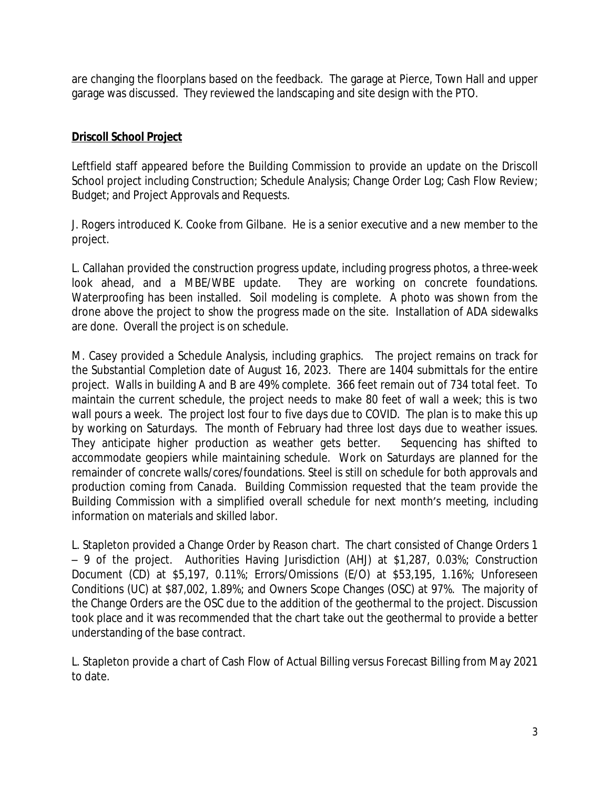are changing the floorplans based on the feedback. The garage at Pierce, Town Hall and upper garage was discussed. They reviewed the landscaping and site design with the PTO.

# **Driscoll School Project**

Leftfield staff appeared before the Building Commission to provide an update on the Driscoll School project including Construction; Schedule Analysis; Change Order Log; Cash Flow Review; Budget; and Project Approvals and Requests.

J. Rogers introduced K. Cooke from Gilbane. He is a senior executive and a new member to the project.

L. Callahan provided the construction progress update, including progress photos, a three-week look ahead, and a MBE/WBE update. They are working on concrete foundations. Waterproofing has been installed. Soil modeling is complete. A photo was shown from the drone above the project to show the progress made on the site. Installation of ADA sidewalks are done. Overall the project is on schedule.

M. Casey provided a Schedule Analysis, including graphics. The project remains on track for the Substantial Completion date of August 16, 2023. There are 1404 submittals for the entire project. Walls in building A and B are 49% complete. 366 feet remain out of 734 total feet. To maintain the current schedule, the project needs to make 80 feet of wall a week; this is two wall pours a week. The project lost four to five days due to COVID. The plan is to make this up by working on Saturdays. The month of February had three lost days due to weather issues. They anticipate higher production as weather gets better. Sequencing has shifted to accommodate geopiers while maintaining schedule. Work on Saturdays are planned for the remainder of concrete walls/cores/foundations. Steel is still on schedule for both approvals and production coming from Canada. Building Commission requested that the team provide the Building Commission with a simplified overall schedule for next month's meeting, including information on materials and skilled labor.

L. Stapleton provided a Change Order by Reason chart. The chart consisted of Change Orders 1 – 9 of the project. Authorities Having Jurisdiction (AHJ) at \$1,287, 0.03%; Construction Document (CD) at \$5,197, 0.11%; Errors/Omissions (E/O) at \$53,195, 1.16%; Unforeseen Conditions (UC) at \$87,002, 1.89%; and Owners Scope Changes (OSC) at 97%. The majority of the Change Orders are the OSC due to the addition of the geothermal to the project. Discussion took place and it was recommended that the chart take out the geothermal to provide a better understanding of the base contract.

L. Stapleton provide a chart of Cash Flow of Actual Billing versus Forecast Billing from May 2021 to date.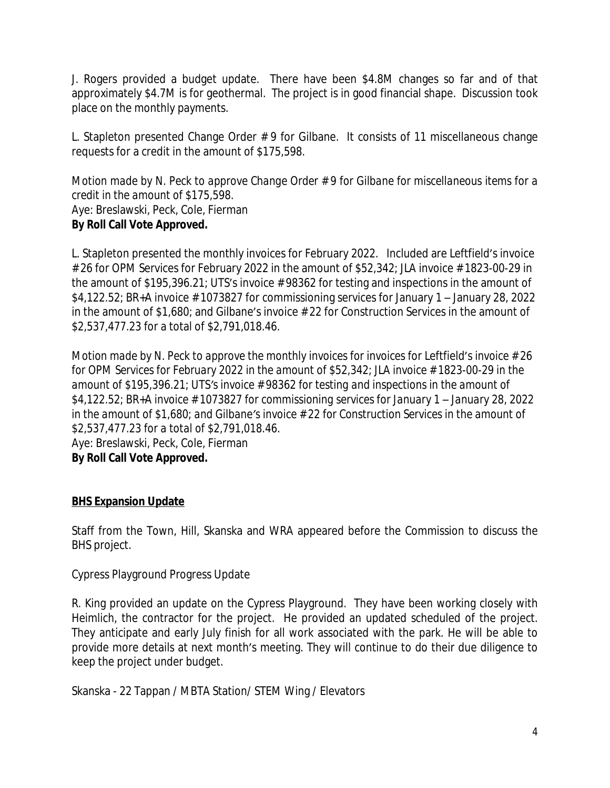J. Rogers provided a budget update. There have been \$4.8M changes so far and of that approximately \$4.7M is for geothermal. The project is in good financial shape. Discussion took place on the monthly payments.

L. Stapleton presented Change Order # 9 for Gilbane. It consists of 11 miscellaneous change requests for a credit in the amount of \$175,598.

*Motion made by N. Peck to approve Change Order # 9 for Gilbane for miscellaneous items for a credit in the amount of \$175,598.* Aye: Breslawski, Peck, Cole, Fierman **By Roll Call Vote Approved.**

L. Stapleton presented the monthly invoices for February 2022. Included are Leftfield's invoice # 26 for OPM Services for February 2022 in the amount of \$52,342; JLA invoice # 1823-00-29 in the amount of \$195,396.21; UTS's invoice # 98362 for testing and inspections in the amount of  $$4,122.52$ ; BR+A invoice #1073827 for commissioning services for January 1 – January 28, 2022 in the amount of \$1,680; and Gilbane's invoice # 22 for Construction Services in the amount of \$2,537,477.23 for a total of \$2,791,018.46.

*Motion made by N. Peck to approve the monthly invoices for invoices* for Leftfield's *invoice # 26 for OPM Services for February 2022 in the amount of \$52,342; JLA invoice # 1823-00-29 in the amount of \$195,396.21; UTS's invoice # 98362 for testing and inspections in the amount of \$4,122.52; BR+A invoice # 1073827 for commissioning services for January 1 – January 28, 2022 in the amount of \$1,680; and Gilbane's invoice # 22 for Construction Services in the amount of \$2,537,477.23 for a total of \$2,791,018.46.* Aye: Breslawski, Peck, Cole, Fierman **By Roll Call Vote Approved.**

# **BHS Expansion Update**

Staff from the Town, Hill, Skanska and WRA appeared before the Commission to discuss the BHS project.

# Cypress Playground Progress Update

R. King provided an update on the Cypress Playground. They have been working closely with Heimlich, the contractor for the project. He provided an updated scheduled of the project. They anticipate and early July finish for all work associated with the park. He will be able to provide more details at next month's meeting. They will continue to do their due diligence to keep the project under budget.

Skanska - 22 Tappan / MBTA Station/ STEM Wing / Elevators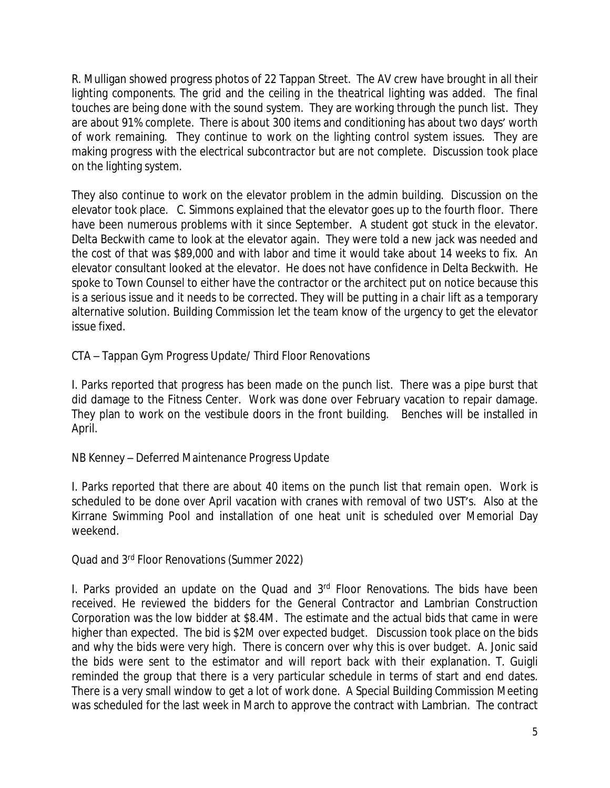R. Mulligan showed progress photos of 22 Tappan Street. The AV crew have brought in all their lighting components. The grid and the ceiling in the theatrical lighting was added. The final touches are being done with the sound system. They are working through the punch list. They are about 91% complete. There is about 300 items and conditioning has about two days' worth of work remaining. They continue to work on the lighting control system issues. They are making progress with the electrical subcontractor but are not complete. Discussion took place on the lighting system.

They also continue to work on the elevator problem in the admin building. Discussion on the elevator took place. C. Simmons explained that the elevator goes up to the fourth floor. There have been numerous problems with it since September. A student got stuck in the elevator. Delta Beckwith came to look at the elevator again. They were told a new jack was needed and the cost of that was \$89,000 and with labor and time it would take about 14 weeks to fix. An elevator consultant looked at the elevator. He does not have confidence in Delta Beckwith. He spoke to Town Counsel to either have the contractor or the architect put on notice because this is a serious issue and it needs to be corrected. They will be putting in a chair lift as a temporary alternative solution. Building Commission let the team know of the urgency to get the elevator issue fixed.

CTA – Tappan Gym Progress Update/ Third Floor Renovations

I. Parks reported that progress has been made on the punch list. There was a pipe burst that did damage to the Fitness Center. Work was done over February vacation to repair damage. They plan to work on the vestibule doors in the front building. Benches will be installed in April.

NB Kenney – Deferred Maintenance Progress Update

I. Parks reported that there are about 40 items on the punch list that remain open. Work is scheduled to be done over April vacation with cranes with removal of two UST's. Also at the Kirrane Swimming Pool and installation of one heat unit is scheduled over Memorial Day weekend.

Quad and 3rd Floor Renovations (Summer 2022)

I. Parks provided an update on the Quad and 3<sup>rd</sup> Floor Renovations. The bids have been received. He reviewed the bidders for the General Contractor and Lambrian Construction Corporation was the low bidder at \$8.4M. The estimate and the actual bids that came in were higher than expected. The bid is \$2M over expected budget. Discussion took place on the bids and why the bids were very high. There is concern over why this is over budget. A. Jonic said the bids were sent to the estimator and will report back with their explanation. T. Guigli reminded the group that there is a very particular schedule in terms of start and end dates. There is a very small window to get a lot of work done. A Special Building Commission Meeting was scheduled for the last week in March to approve the contract with Lambrian. The contract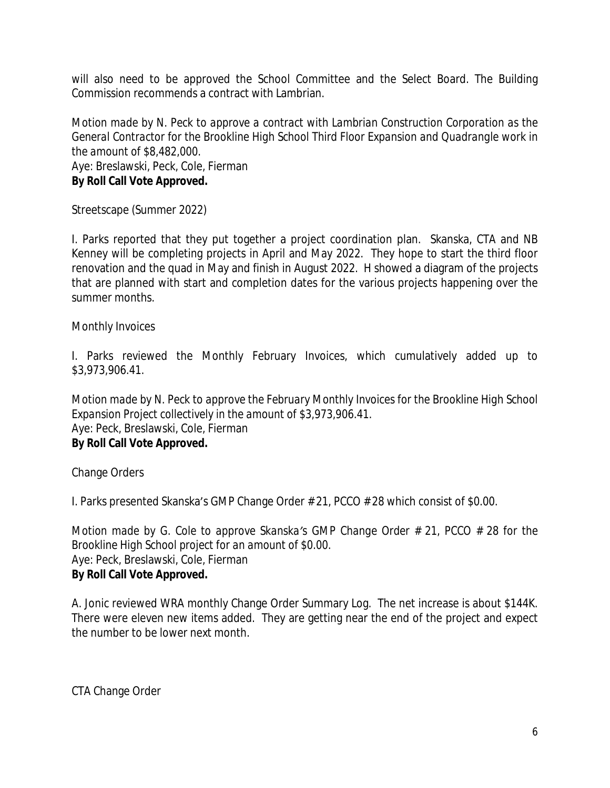will also need to be approved the School Committee and the Select Board. The Building Commission recommends a contract with Lambrian.

*Motion made by N. Peck to approve a contract with Lambrian Construction Corporation as the General Contractor for the Brookline High School Third Floor Expansion and Quadrangle work in the amount of \$8,482,000.* Aye: Breslawski, Peck, Cole, Fierman **By Roll Call Vote Approved.**

Streetscape (Summer 2022)

I. Parks reported that they put together a project coordination plan. Skanska, CTA and NB Kenney will be completing projects in April and May 2022. They hope to start the third floor renovation and the quad in May and finish in August 2022. H showed a diagram of the projects that are planned with start and completion dates for the various projects happening over the summer months.

Monthly Invoices

I. Parks reviewed the Monthly February Invoices, which cumulatively added up to \$3,973,906.41.

*Motion made by N. Peck to approve the February Monthly Invoices for the Brookline High School Expansion Project collectively in the amount of \$3,973,906.41.* Aye: Peck, Breslawski, Cole, Fierman **By Roll Call Vote Approved.**

Change Orders

I. Parks presented Skanska's GMP Change Order # 21, PCCO # 28 which consist of \$0.00.

*Motion made by G. Cole to approve Skanska's GMP Change Order # 21, PCCO # 28 for the Brookline High School project for an amount of \$0.00.* Aye: Peck, Breslawski, Cole, Fierman **By Roll Call Vote Approved.**

A. Jonic reviewed WRA monthly Change Order Summary Log. The net increase is about \$144K. There were eleven new items added. They are getting near the end of the project and expect the number to be lower next month.

CTA Change Order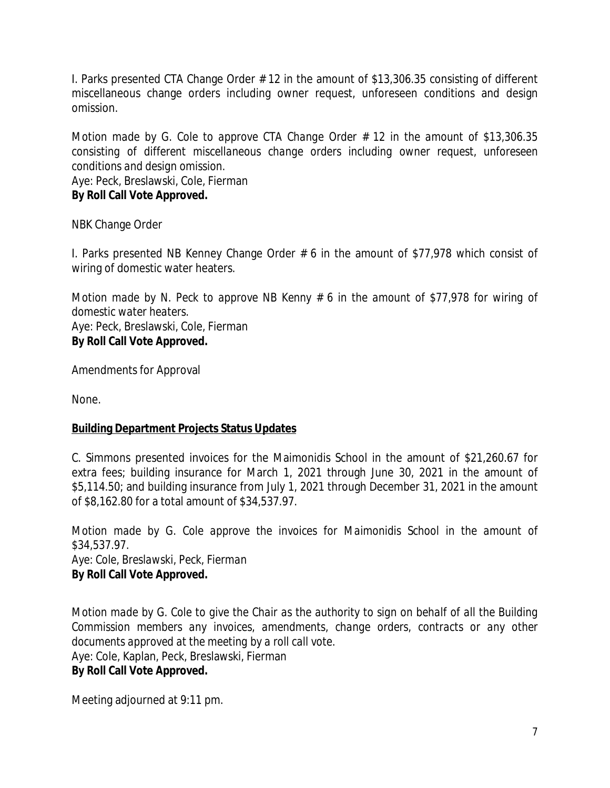I. Parks presented CTA Change Order # 12 in the amount of \$13,306.35 consisting of different miscellaneous change orders including owner request, unforeseen conditions and design omission.

*Motion made by G. Cole to approve CTA Change Order # 12 in the amount of \$13,306.35 consisting of different miscellaneous change orders including owner request, unforeseen conditions and design omission.* Aye: Peck, Breslawski, Cole, Fierman **By Roll Call Vote Approved.**

NBK Change Order

I. Parks presented NB Kenney Change Order # 6 in the amount of \$77,978 which consist of wiring of domestic water heaters.

*Motion made by N. Peck to approve NB Kenny # 6 in the amount of \$77,978 for wiring of domestic water heaters.* Aye: Peck, Breslawski, Cole, Fierman **By Roll Call Vote Approved.**

Amendments for Approval

None.

# **Building Department Projects Status Updates**

C. Simmons presented invoices for the Maimonidis School in the amount of \$21,260.67 for extra fees; building insurance for March 1, 2021 through June 30, 2021 in the amount of \$5,114.50; and building insurance from July 1, 2021 through December 31, 2021 in the amount of \$8,162.80 for a total amount of \$34,537.97.

*Motion made by G. Cole approve the invoices for Maimonidis School in the amount of \$34,537.97. Aye: Cole, Breslawski, Peck, Fierman* **By Roll Call Vote Approved.**

Motion made by G. Cole to give the Chair as the authority to sign on behalf of all the Building *Commission members any invoices, amendments, change orders, contracts or any other documents approved at the meeting by a roll call vote.* Aye: Cole, Kaplan, Peck, Breslawski, Fierman **By Roll Call Vote Approved.**

Meeting adjourned at 9:11 pm.